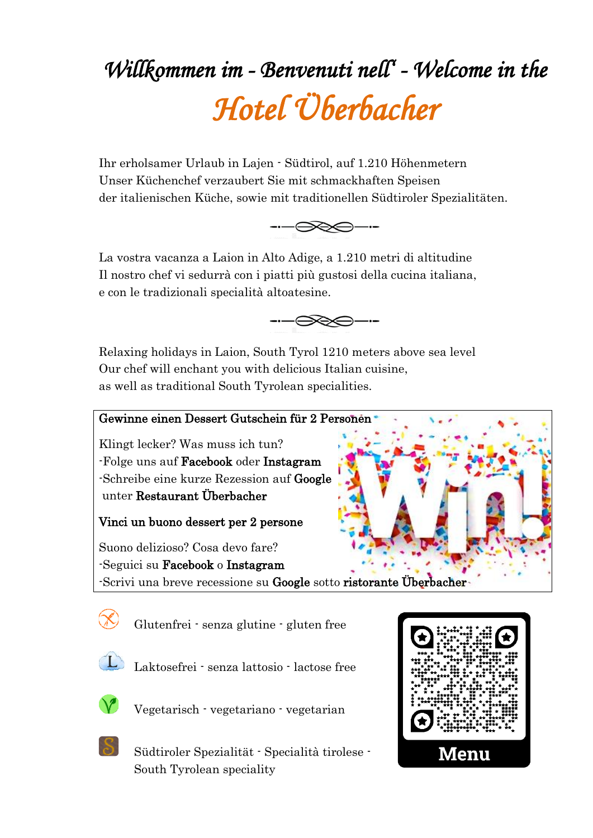# *Willkommen im - Benvenuti nell' - Welcome in the Hotel Überbacher*

Ihr erholsamer Urlaub in Lajen - Südtirol, auf 1.210 Höhenmetern Unser Küchenchef verzaubert Sie mit schmackhaften Speisen der italienischen Küche, sowie mit traditionellen Südtiroler Spezialitäten.



La vostra vacanza a Laion in Alto Adige, a 1.210 metri di altitudine Il nostro chef vi sedurrà con i piatti più gustosi della cucina italiana, e con le tradizionali specialità altoatesine.



Relaxing holidays in Laion, South Tyrol 1210 meters above sea level Our chef will enchant you with delicious Italian cuisine, as well as traditional South Tyrolean specialities.





Glutenfrei - senza glutine - gluten free



Laktosefrei - senza lattosio - lactose free



Vegetarisch - vegetariano - vegetarian



Südtiroler Spezialität - Specialità tirolese - South Tyrolean speciality

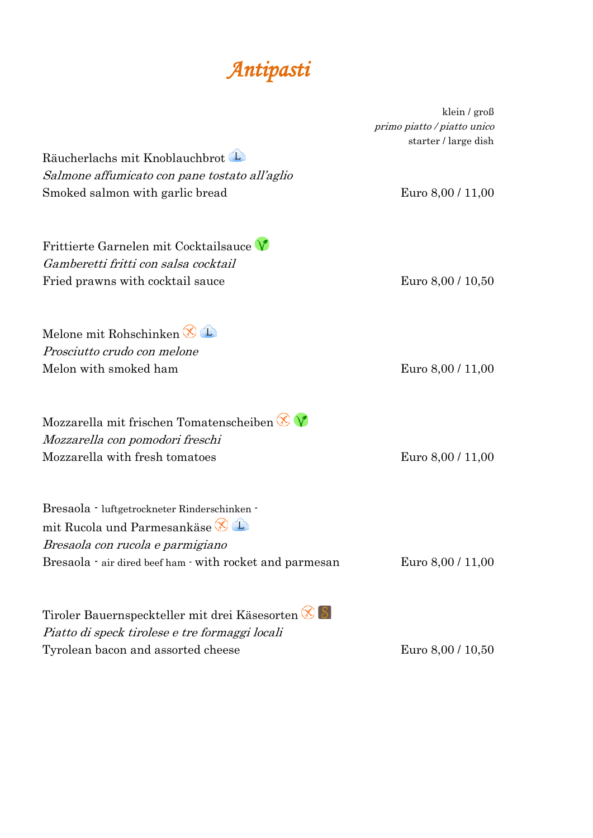### *Antipasti*

|                                                          | klein / $\text{gro} \beta$  |
|----------------------------------------------------------|-----------------------------|
|                                                          | primo piatto / piatto unico |
|                                                          | starter / large dish        |
| Räucherlachs mit Knoblauchbrot                           |                             |
| Salmone affumicato con pane tostato all'aglio            |                             |
| Smoked salmon with garlic bread                          | Euro 8,00 / 11,00           |
| Frittierte Garnelen mit Cocktailsauce                    |                             |
| Gamberetti fritti con salsa cocktail                     |                             |
| Fried prawns with cocktail sauce                         | Euro 8,00 / 10,50           |
| Melone mit Rohschinken                                   |                             |
| Prosciutto crudo con melone                              |                             |
| Melon with smoked ham                                    |                             |
|                                                          | Euro 8,00 / 11,00           |
| Mozzarella mit frischen Tomatenscheiben $\otimes \vee$   |                             |
| Mozzarella con pomodori freschi                          |                             |
| Mozzarella with fresh tomatoes                           | Euro 8,00 / 11,00           |
| Bresaola - luftgetrockneter Rinderschinken -             |                             |
| mit Rucola und Parmesankäse                              |                             |
| Bresaola con rucola e parmigiano                         |                             |
| Bresaola - air dired beef ham - with rocket and parmesan | Euro 8,00 / 11,00           |
|                                                          |                             |
| Tiroler Bauernspeckteller mit drei Käsesorten            |                             |
| Piatto di speck tirolese e tre formaggi locali           |                             |
| Tyrolean bacon and assorted cheese                       | Euro 8,00 / 10,50           |

klein / groß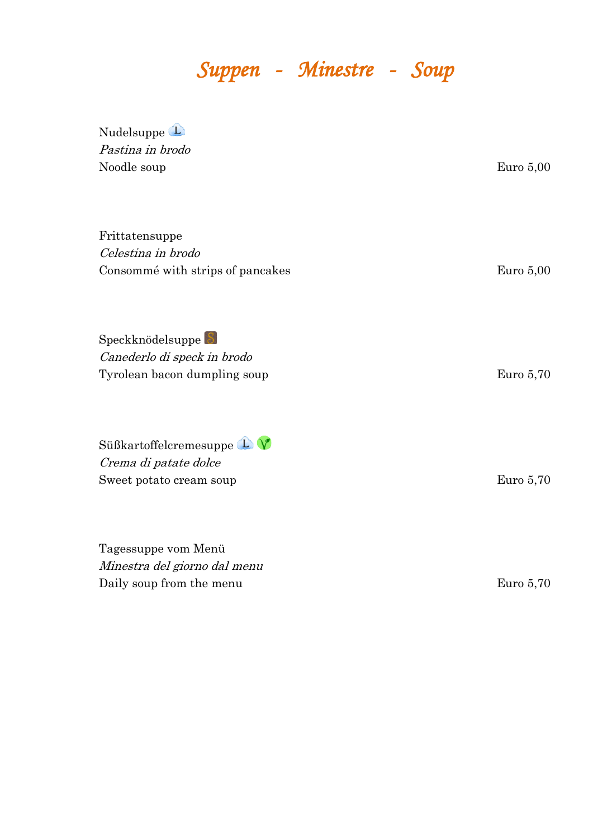# *Suppen - Minestre - Soup*

| Nudelsuppe L<br>Pastina in brodo<br>Noodle soup                                 | Euro $5,00$ |
|---------------------------------------------------------------------------------|-------------|
| Frittatensuppe<br>Celestina in brodo<br>Consommé with strips of pancakes        | Euro $5,00$ |
| Speckknödelsuppe<br>Canederlo di speck in brodo<br>Tyrolean bacon dumpling soup | Euro $5,70$ |
| Süßkartoffelcremesuppe L<br>Crema di patate dolce<br>Sweet potato cream soup    | Euro $5,70$ |
| Tagessuppe vom Menü<br>Minestra del giorno dal menu<br>Daily soup from the menu | Euro $5,70$ |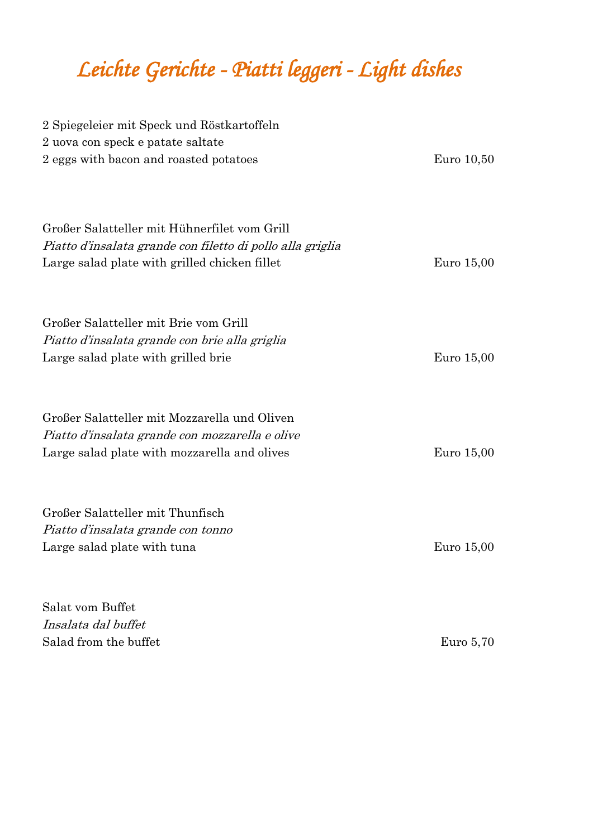# *Leichte Gerichte - Piatti leggeri - Light dishes*

| 2 Spiegeleier mit Speck und Röstkartoffeln<br>2 uova con speck e patate saltate<br>2 eggs with bacon and roasted potatoes                                                           | Euro 10,50 |
|-------------------------------------------------------------------------------------------------------------------------------------------------------------------------------------|------------|
| Großer Salatteller mit Hühnerfilet vom Grill<br>Piatto d'insalata grande con filetto di pollo alla griglia<br>Large salad plate with grilled chicken fillet                         | Euro 15,00 |
| Großer Salatteller mit Brie vom Grill<br>Piatto d'insalata grande con brie alla griglia<br>Large salad plate with grilled brie                                                      | Euro 15,00 |
| Großer Salatteller mit Mozzarella und Oliven<br>Piatto d'insalata grande con mozzarella e olive<br>Large salad plate with mozzarella and olives<br>Großer Salatteller mit Thunfisch | Euro 15,00 |
| Piatto d'insalata grande con tonno<br>Large salad plate with tuna                                                                                                                   | Euro 15,00 |
| Salat vom Buffet<br>Insalata dal buffet                                                                                                                                             |            |

Salad from the buffet  $\qquad \qquad$  Euro 5,70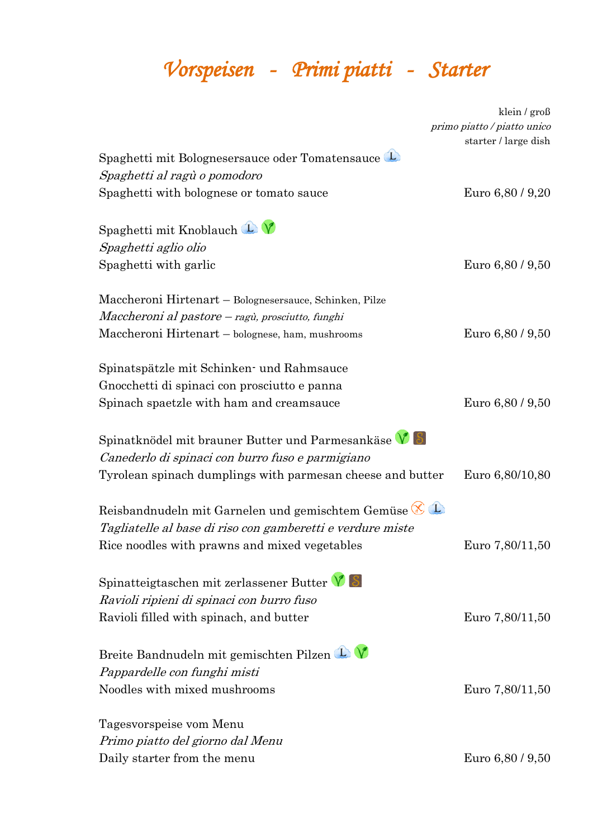# *Vorspeisen - Primi piatti - Starter*

|                                                                  | klein / groß                |
|------------------------------------------------------------------|-----------------------------|
|                                                                  | primo piatto / piatto unico |
|                                                                  | starter / large dish        |
| Spaghetti mit Bolognesersauce oder Tomatensauce                  |                             |
| Spaghetti al ragù o pomodoro                                     |                             |
| Spaghetti with bolognese or tomato sauce                         | Euro 6,80 / 9,20            |
| Spaghetti mit Knoblauch $\mathbf{\mathbb{L}}\mathbf{\mathbb{V}}$ |                             |
| Spaghetti aglio olio                                             |                             |
| Spaghetti with garlic                                            | Euro 6,80 / 9,50            |
| Maccheroni Hirtenart – Bolognesersauce, Schinken, Pilze          |                             |
| Maccheroni al pastore – ragù, prosciutto, funghi                 |                             |
| Maccheroni Hirtenart – bolognese, ham, mushrooms                 | Euro 6,80 / 9,50            |
| Spinatspätzle mit Schinken und Rahmsauce                         |                             |
| Gnocchetti di spinaci con prosciutto e panna                     |                             |
| Spinach spaetzle with ham and creamsauce                         | Euro 6,80 / 9,50            |
| Spinatknödel mit brauner Butter und Parmesankäse $V$ $S$         |                             |
| Canederlo di spinaci con burro fuso e parmigiano                 |                             |
| Tyrolean spinach dumplings with parmesan cheese and butter       | Euro 6,80/10,80             |
| Reisbandnudeln mit Garnelen und gemischtem Gemüse $\bigotimes$ U |                             |
| Tagliatelle al base di riso con gamberetti e verdure miste       |                             |
| Rice noodles with prawns and mixed vegetables                    | Euro 7,80/11,50             |
| Spinatteigtaschen mit zerlassener Butter $\sqrt{8}$              |                             |
| Ravioli ripieni di spinaci con burro fuso                        |                             |
| Ravioli filled with spinach, and butter                          | Euro 7,80/11,50             |
| Breite Bandnudeln mit gemischten Pilzen L                        |                             |
| Pappardelle con funghi misti                                     |                             |
| Noodles with mixed mushrooms                                     | Euro 7,80/11,50             |
| Tagesvorspeise vom Menu                                          |                             |
| Primo piatto del giorno dal Menu                                 |                             |
| Daily starter from the menu                                      | Euro 6,80 / 9,50            |
|                                                                  |                             |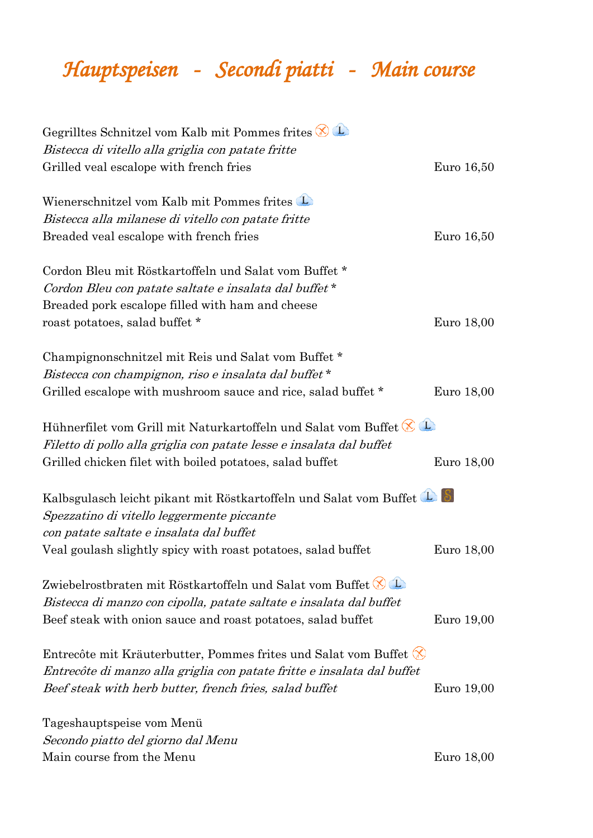## *Hauptspeisen - Secondi piatti - Main course*

| Gegrilltes Schnitzel vom Kalb mit Pommes frites $\bigotimes$ U            |            |
|---------------------------------------------------------------------------|------------|
| Bistecca di vitello alla griglia con patate fritte                        |            |
| Grilled veal escalope with french fries                                   | Euro 16,50 |
| Wienerschnitzel vom Kalb mit Pommes frites                                |            |
| Bistecca alla milanese di vitello con patate fritte                       |            |
| Breaded veal escalope with french fries                                   | Euro 16,50 |
| Cordon Bleu mit Röstkartoffeln und Salat vom Buffet *                     |            |
| Cordon Bleu con patate saltate e insalata dal buffet*                     |            |
| Breaded pork escalope filled with ham and cheese                          |            |
| roast potatoes, salad buffet *                                            | Euro 18,00 |
| Champignonschnitzel mit Reis und Salat vom Buffet *                       |            |
| Bistecca con champignon, riso e insalata dal buffet*                      |            |
| Grilled escalope with mushroom sauce and rice, salad buffet *             | Euro 18,00 |
| Hühnerfilet vom Grill mit Naturkartoffeln und Salat vom Buffet            |            |
| Filetto di pollo alla griglia con patate lesse e insalata dal buffet      |            |
| Grilled chicken filet with boiled potatoes, salad buffet                  | Euro 18,00 |
| Kalbsgulasch leicht pikant mit Röstkartoffeln und Salat vom Buffet        |            |
| Spezzatino di vitello leggermente piccante                                |            |
| con patate saltate e insalata dal buffet                                  |            |
| Veal goulash slightly spicy with roast potatoes, salad buffet             | Euro 18,00 |
| Zwiebelrostbraten mit Röstkartoffeln und Salat vom Buffet (OL             |            |
| Bistecca di manzo con cipolla, patate saltate e insalata dal buffet       |            |
| Beef steak with onion sauce and roast potatoes, salad buffet              | Euro 19,00 |
| Entrecôte mit Kräuterbutter, Pommes frites und Salat vom Buffet $\otimes$ |            |
| Entrecôte di manzo alla griglia con patate fritte e insalata dal buffet   |            |
| Beef steak with herb butter, french fries, salad buffet                   | Euro 19,00 |
| Tageshauptspeise vom Menü                                                 |            |
| Secondo piatto del giorno dal Menu                                        |            |
| Main course from the Menu                                                 | Euro 18,00 |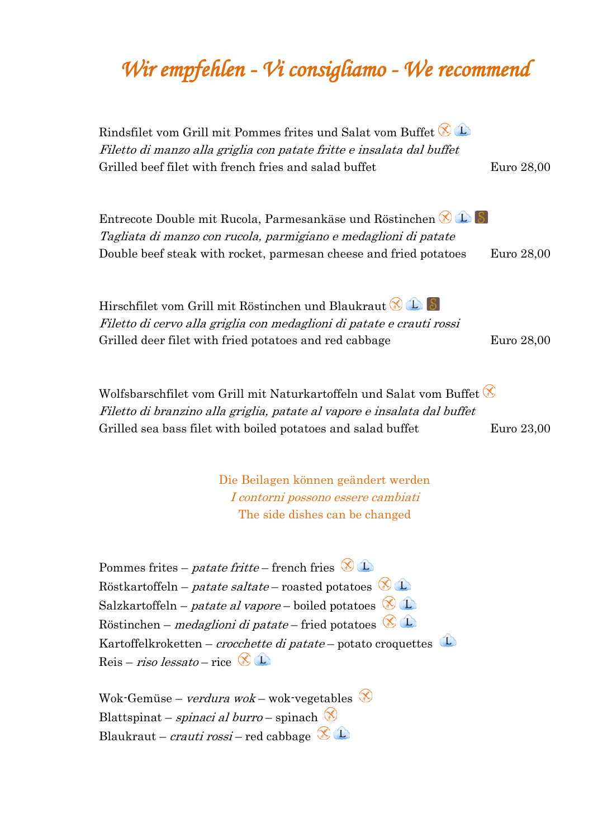## *Wir empfehlen - Vi consigliamo - We recommend*

Rindsfilet vom Grill mit Pommes frites und Salat vom Buffet Filetto di manzo alla griglia con patate fritte e insalata dal buffet Grilled beef filet with french fries and salad buffet Euro 28,00 Entrecote Double mit Rucola, Parmesankäse und Röstinchen Tagliata di manzo con rucola, parmigiano e medaglioni di patate Double beef steak with rocket, parmesan cheese and fried potatoes Euro 28,00 Hirschfilet vom Grill mit Röstinchen und Blaukraut Filetto di cervo alla griglia con medaglioni di patate e crauti rossi Grilled deer filet with fried potatoes and red cabbage Euro 28,00 Wolfsbarschfilet vom Grill mit Naturkartoffeln und Salat vom Buffet Filetto di branzino alla griglia, patate al vapore e insalata dal buffet Grilled sea bass filet with boiled potatoes and salad buffet Euro 23,00

> Die Beilagen können geändert werden I contorni possono essere cambiati The side dishes can be changed

Pommes frites – *patate fritte* – french fries  $\circledR$ Röstkartoffeln – *patate saltate* – roasted potatoes  $\circledR$  **L** Salzkartoffeln – *patate al vapore* – boiled potatoes  $\bigotimes$   $\bigcirc$ Röstinchen – *medaglioni di patate* – fried potatoes  $\emptyset$   $\mathbb{D}$ Kartoffelkroketten – *crocchette di patate* – potato croquettes Reis – riso lessato – rice  $\bigotimes$  L

Wok-Gemüse – *verdura wok* – wok-vegetables Blattspinat – *spinaci al burro* – spinach  $\otimes$ Blaukraut – *crauti rossi* – red cabbage  $\emptyset$   $\mathbb{D}$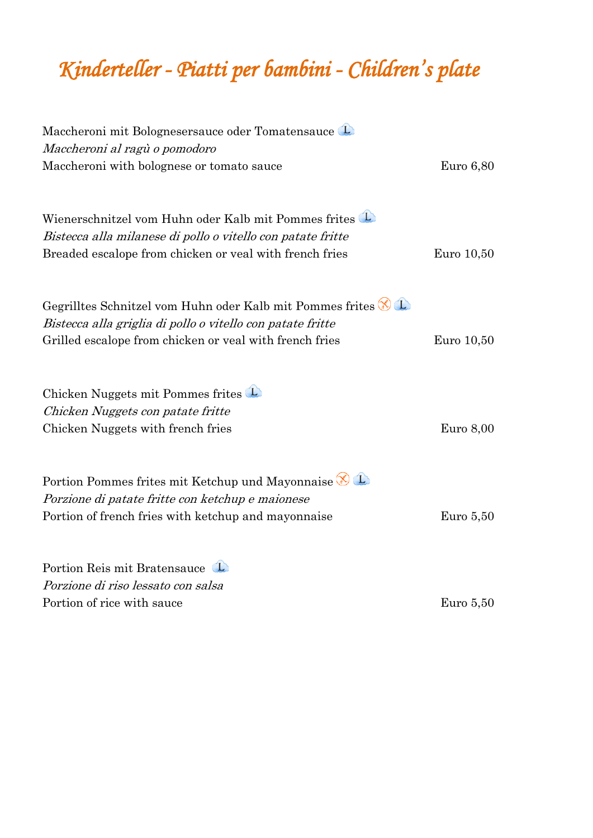## *Kinderteller - Piatti per bambini - Children's plate*

| Maccheroni mit Bolognesersauce oder Tomatensauce<br>Maccheroni al ragù o pomodoro                                                      |             |
|----------------------------------------------------------------------------------------------------------------------------------------|-------------|
| Maccheroni with bolognese or tomato sauce                                                                                              | Euro 6,80   |
| Wienerschnitzel vom Huhn oder Kalb mit Pommes frites                                                                                   |             |
| Bistecca alla milanese di pollo o vitello con patate fritte<br>Breaded escalope from chicken or yeal with french fries                 | Euro 10,50  |
| Gegrilltes Schnitzel vom Huhn oder Kalb mit Pommes frites $\bigotimes$ U<br>Bistecca alla griglia di pollo o vitello con patate fritte |             |
| Grilled escalope from chicken or yeal with french fries                                                                                | Euro 10,50  |
| Chicken Nuggets mit Pommes frites                                                                                                      |             |
| Chicken Nuggets con patate fritte                                                                                                      |             |
| Chicken Nuggets with french fries                                                                                                      | Euro $8,00$ |
| Portion Pommes frites mit Ketchup und Mayonnaise $\circledast$<br>Porzione di patate fritte con ketchup e maionese                     |             |
| Portion of french fries with ketchup and mayonnaise                                                                                    | Euro $5,50$ |
| Portion Reis mit Bratensauce                                                                                                           |             |
| Porzione di riso lessato con salsa                                                                                                     |             |
| Portion of rice with sauce                                                                                                             | Euro $5,50$ |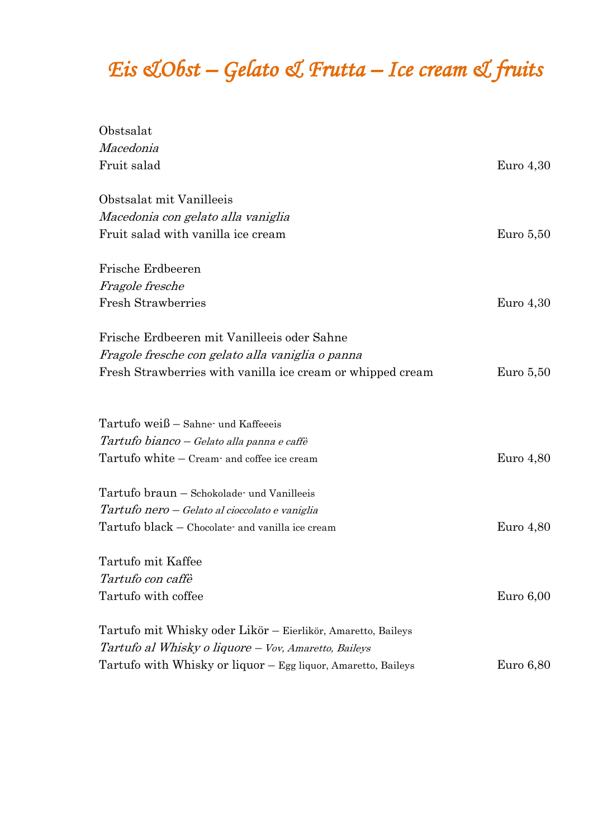## *Eis &Obst – Gelato & Frutta – Ice cream & fruits*

| Obstsalat                                                     |             |
|---------------------------------------------------------------|-------------|
| Macedonia                                                     |             |
| Fruit salad                                                   | Euro $4,30$ |
| Obstsalat mit Vanilleeis                                      |             |
| Macedonia con gelato alla vaniglia                            |             |
| Fruit salad with vanilla ice cream                            | Euro $5,50$ |
| Frische Erdbeeren                                             |             |
| Fragole fresche                                               |             |
| <b>Fresh Strawberries</b>                                     | Euro $4,30$ |
| Frische Erdbeeren mit Vanilleeis oder Sahne                   |             |
| Fragole fresche con gelato alla vaniglia o panna              |             |
| Fresh Strawberries with vanilla ice cream or whipped cream    | Euro $5,50$ |
| Tartufo weiß - Sahne- und Kaffeeeis                           |             |
| Tartufo bianco – Gelato alla panna e caffè                    |             |
| Tartufo white – Cream and coffee ice cream                    | Euro $4,80$ |
| Tartufo braun - Schokolade- und Vanilleeis                    |             |
| Tartufo nero – Gelato al cioccolato e vaniglia                |             |
| Tartufo black - Chocolate and vanilla ice cream               | Euro $4,80$ |
| Tartufo mit Kaffee                                            |             |
| Tartufo con caffè                                             |             |
| Tartufo with coffee                                           | Euro $6,00$ |
| Tartufo mit Whisky oder Likör - Eierlikör, Amaretto, Baileys  |             |
| Tartufo al Whisky o liquore – Vov, Amaretto, Baileys          |             |
| Tartufo with Whisky or liquor - Egg liquor, Amaretto, Baileys | Euro $6,80$ |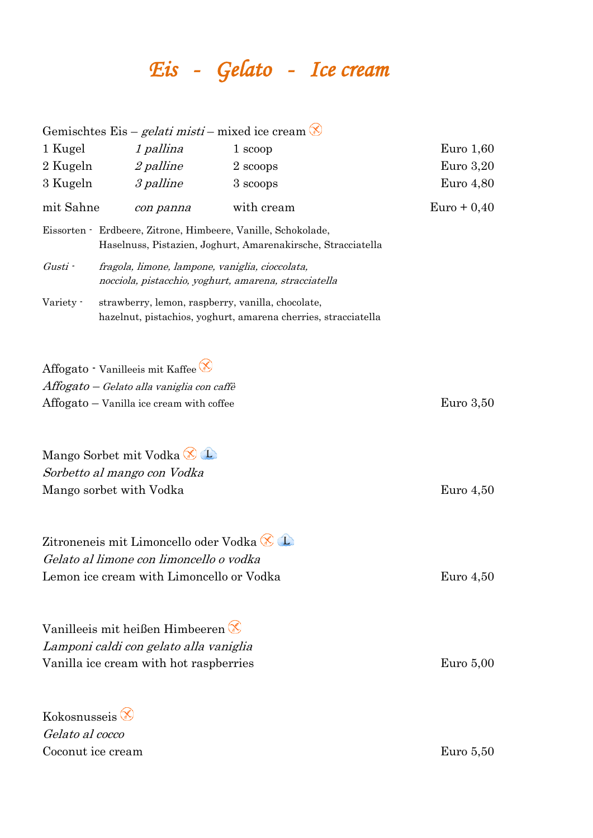# *Eis - Gelato - Ice cream*

|                        |                                                                                  | Gemischtes Eis – <i>gelati misti</i> – mixed ice cream $\otimes$                                                              |               |
|------------------------|----------------------------------------------------------------------------------|-------------------------------------------------------------------------------------------------------------------------------|---------------|
| 1 Kugel                | 1 pallina                                                                        | 1 scoop                                                                                                                       | Euro $1,60$   |
| 2 Kugeln               | <i>2 palline</i>                                                                 | 2 scoops                                                                                                                      | Euro $3,20$   |
| 3 Kugeln               | 3 palline                                                                        | 3 scoops                                                                                                                      | Euro $4,80$   |
| mit Sahne              | con panna                                                                        | with cream                                                                                                                    | $Euro + 0,40$ |
|                        |                                                                                  | Eissorten · Erdbeere, Zitrone, Himbeere, Vanille, Schokolade,<br>Haselnuss, Pistazien, Joghurt, Amarenakirsche, Stracciatella |               |
| Gusti -                | fragola, limone, lampone, vaniglia, cioccolata,                                  | nocciola, pistacchio, yoghurt, amarena, stracciatella                                                                         |               |
| Variety -              |                                                                                  | strawberry, lemon, raspberry, vanilla, chocolate,<br>hazelnut, pistachios, yoghurt, amarena cherries, stracciatella           |               |
|                        | Affogato - Vanilleeis mit Kaffee<br>Affogato - Gelato alla vaniglia con caffè    |                                                                                                                               |               |
|                        | Affogato - Vanilla ice cream with coffee                                         |                                                                                                                               | Euro $3,50$   |
|                        | Mango Sorbet mit Vodka<br>Sorbetto al mango con Vodka<br>Mango sorbet with Vodka |                                                                                                                               | Euro $4,50$   |
|                        | Zitroneneis mit Limoncello oder Vodka                                            |                                                                                                                               |               |
|                        | Gelato al limone con limoncello o vodka                                          |                                                                                                                               |               |
|                        | Lemon ice cream with Limoncello or Vodka                                         |                                                                                                                               | Euro 4,50     |
|                        | Vanilleeis mit heißen Himbeeren                                                  |                                                                                                                               |               |
|                        | Lamponi caldi con gelato alla vaniglia                                           |                                                                                                                               |               |
|                        | Vanilla ice cream with hot raspberries                                           |                                                                                                                               | Euro $5,00$   |
| Kokosnusseis $\otimes$ |                                                                                  |                                                                                                                               |               |
| Gelato al cocco        |                                                                                  |                                                                                                                               |               |

Coconut ice cream Euro 5,50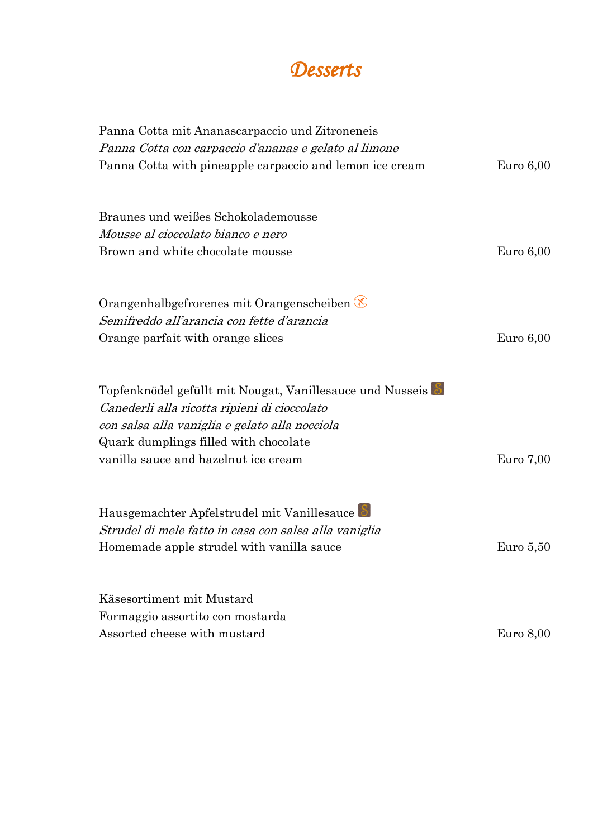

| Panna Cotta mit Ananascarpaccio und Zitroneneis                                                           |             |
|-----------------------------------------------------------------------------------------------------------|-------------|
| Panna Cotta con carpaccio d'ananas e gelato al limone                                                     |             |
| Panna Cotta with pineapple carpaccio and lemon ice cream                                                  | Euro $6,00$ |
| Braunes und weißes Schokolademousse                                                                       |             |
| <i>Mousse al cioccolato bianco e nero</i>                                                                 |             |
| Brown and white chocolate mousse                                                                          | Euro $6,00$ |
| Orangenhalbgefrorenes mit Orangenscheiben                                                                 |             |
| Semifreddo all'arancia con fette d'arancia                                                                |             |
| Orange parfait with orange slices                                                                         | Euro $6,00$ |
| Topfenknödel gefüllt mit Nougat, Vanillesauce und Nusseis<br>Canederli alla ricotta ripieni di cioccolato |             |
| con salsa alla vaniglia e gelato alla nocciola                                                            |             |
| Quark dumplings filled with chocolate                                                                     |             |
| vanilla sauce and hazelnut ice cream                                                                      | Euro 7,00   |
| Hausgemachter Apfelstrudel mit Vanillesauce                                                               |             |
| Strudel di mele fatto in casa con salsa alla vaniglia                                                     |             |
| Homemade apple strudel with vanilla sauce                                                                 | Euro $5,50$ |
| Käsesortiment mit Mustard                                                                                 |             |
| Formaggio assortito con mostarda                                                                          |             |
| Assorted cheese with mustard                                                                              | Euro $8,00$ |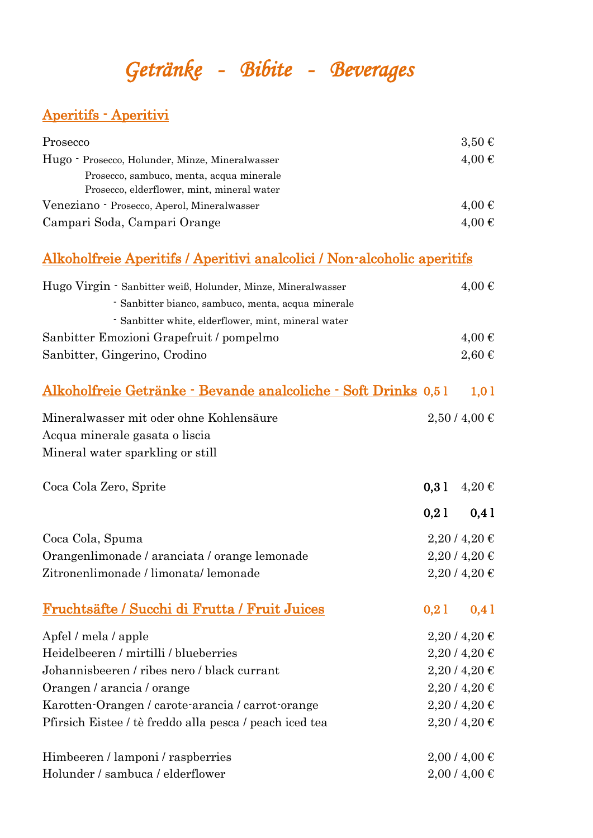## *Getränke - Bibite - Beverages*

#### Aperitifs - Aperitivi

| Prosecco                                        | $3,50 \in$          |
|-------------------------------------------------|---------------------|
| Hugo - Prosecco, Holunder, Minze, Mineralwasser | $4,00 \in$          |
| Prosecco, sambuco, menta, acqua minerale        |                     |
| Prosecco, elderflower, mint, mineral water      |                     |
| Veneziano - Prosecco, Aperol, Mineralwasser     | $4.00 \text{ } \in$ |
| Campari Soda, Campari Orange                    | $4.00 \text{ } \in$ |

#### Alkoholfreie Aperitifs / Aperitivi analcolici / Non-alcoholic aperitifs

| Hugo Virgin - Sanbitter weiß, Holunder, Minze, Mineralwasser   |      | $4,00 \in$      |
|----------------------------------------------------------------|------|-----------------|
| - Sanbitter bianco, sambuco, menta, acqua minerale             |      |                 |
| - Sanbitter white, elderflower, mint, mineral water            |      |                 |
| Sanbitter Emozioni Grapefruit / pompelmo                       |      | $4,00 \in$      |
| Sanbitter, Gingerino, Crodino                                  |      | $2,60 \in$      |
| Alkoholfreie Getränke - Bevande analcoliche - Soft Drinks 0,51 |      | 1,01            |
| Mineralwasser mit oder ohne Kohlensäure                        |      | 2,50/4,00€      |
| Acqua minerale gasata o liscia                                 |      |                 |
| Mineral water sparkling or still                               |      |                 |
| Coca Cola Zero, Sprite                                         | 0,31 | $4,20 \in$      |
|                                                                | 0,21 | 0,41            |
| Coca Cola, Spuma                                               |      | $2,20$ / 4,20 € |
| Orangenlimonade / aranciata / orange lemonade                  |      | $2,20$ / 4,20 € |
| Zitronenlimonade / limonata/ lemonade                          |      | $2,20$ / 4,20 € |
| Fruchtsäfte / Succhi di Frutta / Fruit Juices                  | 0,21 | 0,41            |
| Apfel / mela / apple                                           |      | $2,20$ / 4,20 € |
| Heidelbeeren / mirtilli / blueberries                          |      | $2,20$ / 4,20 € |
| Johannisbeeren / ribes nero / black currant                    |      | $2,20$ / 4,20 € |
| Orangen / arancia / orange                                     |      | $2,20$ / 4,20 € |
| Karotten-Orangen / carote-arancia / carrot-orange              |      | $2,20$ / 4,20 € |
| Pfirsich Eistee / tè freddo alla pesca / peach iced tea        |      | $2,20$ / 4,20 € |
| Himbeeren / lamponi / raspberries                              |      | $2,00/4,00 \in$ |
| Holunder / sambuca / elderflower                               |      | $2,00/4,00 \in$ |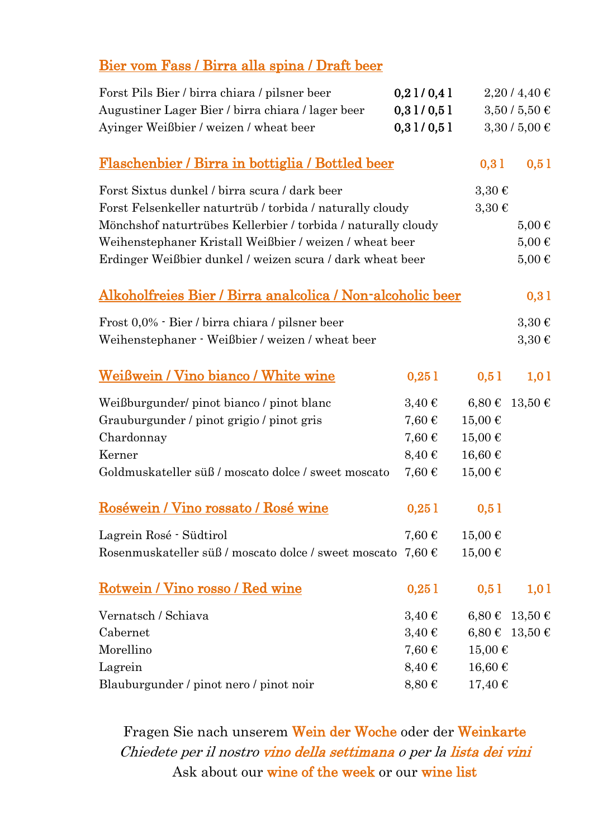### Bier vom Fass / Birra alla spina / Draft beer

| Forst Pils Bier / birra chiara / pilsner beer                      | 0,21/0,41  |             | $2,20$ / 4,40 € |
|--------------------------------------------------------------------|------------|-------------|-----------------|
| Augustiner Lager Bier / birra chiara / lager beer                  | 0,31/0,51  |             | 3,50/5,50€      |
| Ayinger Weißbier / weizen / wheat beer                             | 0,31/0,51  |             | $3,30/5,00 \in$ |
| Flaschenbier / Birra in bottiglia / Bottled beer                   |            | 0,31        | 0,51            |
| Forst Sixtus dunkel / birra scura / dark beer                      |            | $3,30 \in$  |                 |
| Forst Felsenkeller naturtrüb / torbida / naturally cloudy          |            | $3,30 \in$  |                 |
| Mönchshof naturtrübes Kellerbier / torbida / naturally cloudy      |            |             | $5,00 \in$      |
| Weihenstephaner Kristall Weißbier / weizen / wheat beer            |            |             | $5,00 \in$      |
| Erdinger Weißbier dunkel / weizen scura / dark wheat beer          |            |             | $5,00 \in$      |
| <u> Alkoholfreies Bier / Birra analcolica / Non-alcoholic beer</u> |            |             | 0,31            |
| Frost 0,0% · Bier / birra chiara / pilsner beer                    |            |             | $3,30 \in$      |
| Weihenstephaner · Weißbier / weizen / wheat beer                   |            |             | $3,30 \in$      |
| Weißwein / Vino bianco / White wine                                | 0,251      | 0,51        | 1,01            |
| Weißburgunder/ pinot bianco / pinot blanc                          | $3,40 \in$ | $6,80 \in$  | 13,50€          |
| Grauburgunder / pinot grigio / pinot gris                          | 7,60€      | 15,00€      |                 |
| Chardonnay                                                         | 7,60€      | 15,00€      |                 |
| Kerner                                                             | $8,40 \in$ | 16,60€      |                 |
| Goldmuskateller süß / moscato dolce / sweet moscato                | 7,60€      | 15,00€      |                 |
| Roséwein / Vino rossato / Rosé wine                                | 0,251      | 0,51        |                 |
| Lagrein Rosé - Südtirol                                            | $7,60 \in$ | 15,00€      |                 |
| Rosenmuskateller süß / moscato dolce / sweet moscato $7,60 \in$    |            | 15,00€      |                 |
| Rotwein / Vino rosso / Red wine                                    | 0,251      | 0,51        | 1,01            |
| Vernatsch / Schiava                                                | $3,40 \in$ | $6,80 \in$  | $13,50 \in$     |
| Cabernet                                                           | $3,40 \in$ |             | 6,80 € 13,50 €  |
| Morellino                                                          | $7,60 \in$ | 15,00€      |                 |
| Lagrein                                                            | $8,40 \in$ | $16,60 \in$ |                 |
| Blauburgunder / pinot nero / pinot noir                            | $8,80 \in$ | 17,40€      |                 |

Fragen Sie nach unserem Wein der Woche oder der Weinkarte Chiedete per il nostro vino della settimana o per la lista dei vini Ask about our wine of the week or our wine list